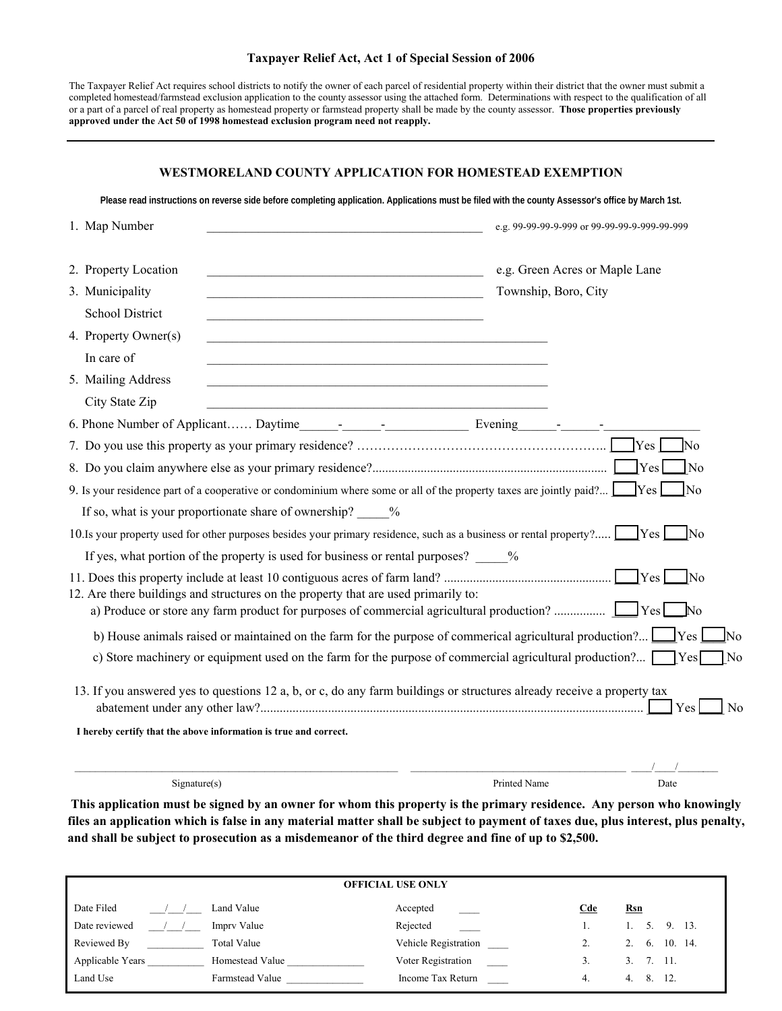# **WESTMORELAND COUNTY APPLICATION FOR HOMESTEAD EXEMPTION**

**Please read instructions on reverse side before completing application. Applications must be filed with the county Assessor's office by March 1st.**

| 1. Map Number                                                                                                                                                | e.g. 99-99-99-9-999 or 99-99-99-9-999-99-999           |  |
|--------------------------------------------------------------------------------------------------------------------------------------------------------------|--------------------------------------------------------|--|
| 2. Property Location<br>3. Municipality                                                                                                                      | e.g. Green Acres or Maple Lane<br>Township, Boro, City |  |
| <b>School District</b><br>4. Property Owner(s)<br>In care of                                                                                                 |                                                        |  |
| 5. Mailing Address<br>City State Zip<br><u> 1989 - Johann Stein, marwolaethau a bhann an t-Amhair an t-Amhair an t-Amhair an t-Amhair an t-Amhair an t-A</u> |                                                        |  |
|                                                                                                                                                              |                                                        |  |
|                                                                                                                                                              | $\gamma$ <sub>es</sub> $\gamma$<br>$\overline{\rm No}$ |  |
|                                                                                                                                                              | $\gamma$ <sub>es</sub><br>$\log$                       |  |
| 9. Is your residence part of a cooperative or condominium where some or all of the property taxes are jointly paid? $Yes$                                    | $\overline{N}$                                         |  |
| If so, what is your proportionate share of ownership? _____%                                                                                                 |                                                        |  |
| 10. Is your property used for other purposes besides your primary residence, such as a business or rental property? Yes No                                   |                                                        |  |
|                                                                                                                                                              |                                                        |  |
| If yes, what portion of the property is used for business or rental purposes? %                                                                              |                                                        |  |
| 12. Are there buildings and structures on the property that are used primarily to:                                                                           | $ Y_{\text{es}} $<br>- INo                             |  |
|                                                                                                                                                              | $\mathbb{N}^{\Omega}$                                  |  |
| b) House animals raised or maintained on the farm for the purpose of commercial agricultural production? <u>S</u> Yes                                        | lNo                                                    |  |
| c) Store machinery or equipment used on the farm for the purpose of commercial agricultural production? $\Box$ Yes                                           | N <sub>o</sub>                                         |  |
|                                                                                                                                                              |                                                        |  |
| 13. If you answered yes to questions 12 a, b, or c, do any farm buildings or structures already receive a property tax                                       | Yes<br>N <sub>0</sub>                                  |  |
| I hereby certify that the above information is true and correct.                                                                                             |                                                        |  |
|                                                                                                                                                              |                                                        |  |
| Signature(s)                                                                                                                                                 | Printed Name<br>Date                                   |  |
|                                                                                                                                                              |                                                        |  |

**This application must be signed by an owner for whom this property is the primary residence. Any person who knowingly files an application which is false in any material matter shall be subject to payment of taxes due, plus interest, plus penalty, and shall be subject to prosecution as a misdemeanor of the third degree and fine of up to \$2,500.** 

| <b>OFFICIAL USE ONLY</b> |                    |                      |            |                 |
|--------------------------|--------------------|----------------------|------------|-----------------|
| Date Filed               | Land Value         | Accepted             | <u>Cde</u> | <u>Rsn</u>      |
| Date reviewed            | Impry Value        | Rejected             |            | 5. 9. 13.<br>1. |
| Reviewed By              | <b>Total Value</b> | Vehicle Registration |            | 2, 6, 10, 14.   |
| Applicable Years         | Homestead Value    | Voter Registration   |            | 3.7.11.         |
| Land Use                 | Farmstead Value    | Income Tax Return    | 4.         | 12<br>8.<br>4.  |